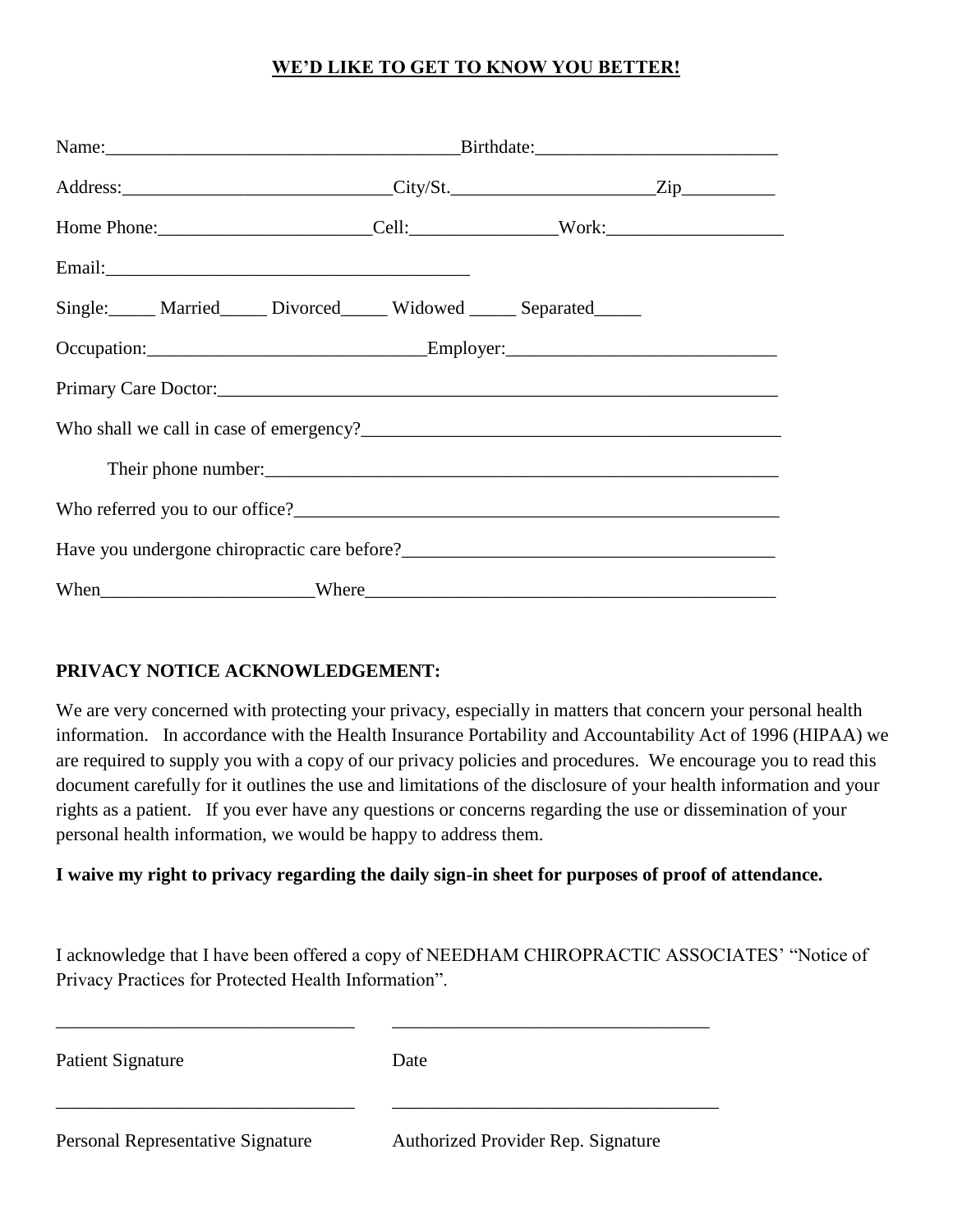## **WE'D LIKE TO GET TO KNOW YOU BETTER!**

| Single: Married Divorced Widowed Separated                                                                                                                                                                                     |  |  |  |  |  |
|--------------------------------------------------------------------------------------------------------------------------------------------------------------------------------------------------------------------------------|--|--|--|--|--|
|                                                                                                                                                                                                                                |  |  |  |  |  |
|                                                                                                                                                                                                                                |  |  |  |  |  |
|                                                                                                                                                                                                                                |  |  |  |  |  |
| Their phone number: example and the state of the state of the state of the state of the state of the state of the state of the state of the state of the state of the state of the state of the state of the state of the stat |  |  |  |  |  |
| Who referred you to our office?                                                                                                                                                                                                |  |  |  |  |  |
| Have you undergone chiropractic care before?                                                                                                                                                                                   |  |  |  |  |  |
| When Where Where Where Where we have the state of the state of the state of the state of the state of the state of the state of the state of the state of the state of the state of the state of the state of the state of the |  |  |  |  |  |

### **PRIVACY NOTICE ACKNOWLEDGEMENT:**

We are very concerned with protecting your privacy, especially in matters that concern your personal health information. In accordance with the Health Insurance Portability and Accountability Act of 1996 (HIPAA) we are required to supply you with a copy of our privacy policies and procedures. We encourage you to read this document carefully for it outlines the use and limitations of the disclosure of your health information and your rights as a patient. If you ever have any questions or concerns regarding the use or dissemination of your personal health information, we would be happy to address them.

### **I waive my right to privacy regarding the daily sign-in sheet for purposes of proof of attendance.**

I acknowledge that I have been offered a copy of NEEDHAM CHIROPRACTIC ASSOCIATES' "Notice of Privacy Practices for Protected Health Information".

| Patient Signature                 | Date                               |
|-----------------------------------|------------------------------------|
|                                   |                                    |
| Personal Representative Signature | Authorized Provider Rep. Signature |

\_\_\_\_\_\_\_\_\_\_\_\_\_\_\_\_\_\_\_\_\_\_\_\_\_\_\_\_\_\_\_\_ \_\_\_\_\_\_\_\_\_\_\_\_\_\_\_\_\_\_\_\_\_\_\_\_\_\_\_\_\_\_\_\_\_\_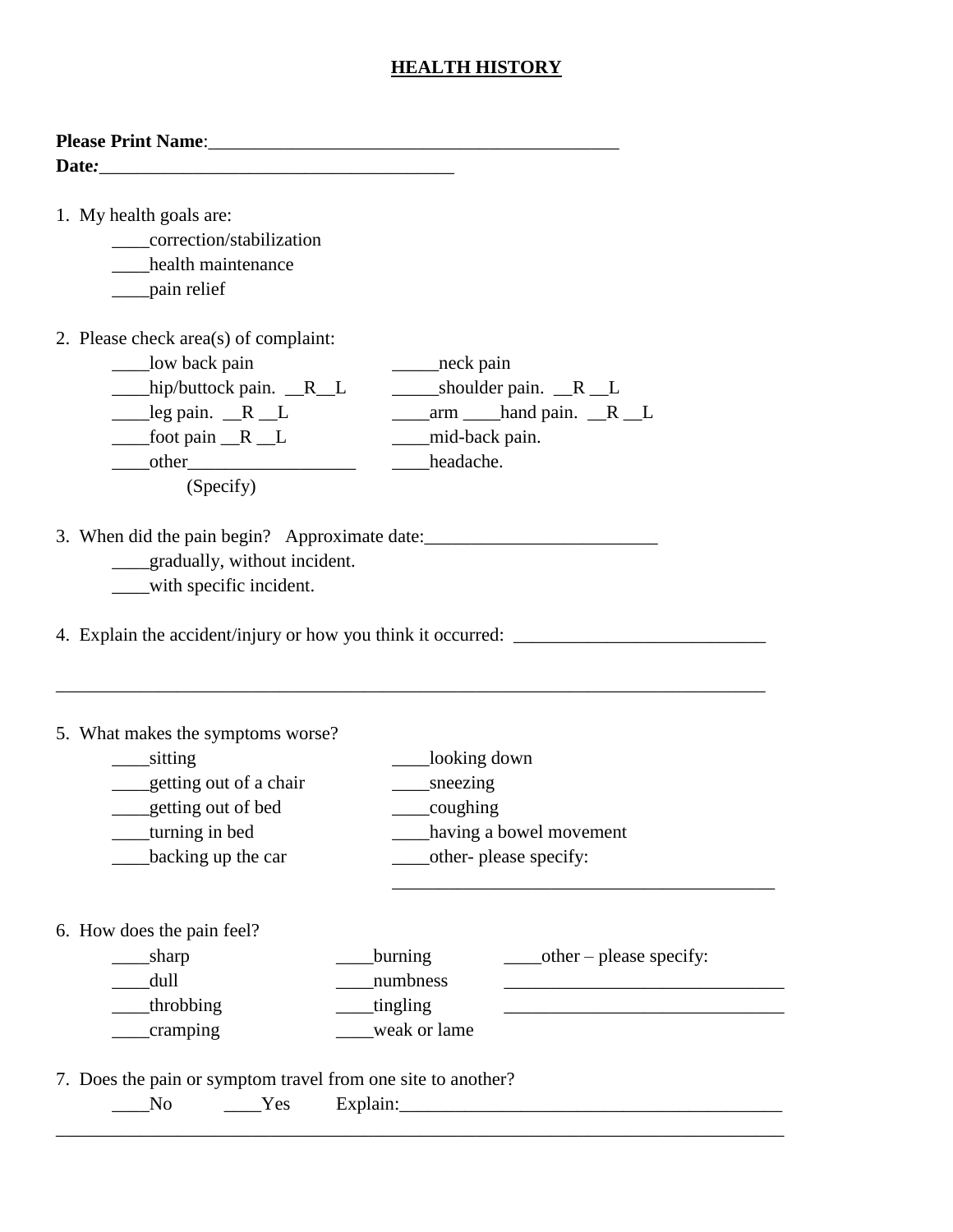## **HEALTH HISTORY**

| 1. My health goals are:                                                                                                    |                                                                                                    |  |
|----------------------------------------------------------------------------------------------------------------------------|----------------------------------------------------------------------------------------------------|--|
| correction/stabilization                                                                                                   |                                                                                                    |  |
| health maintenance                                                                                                         |                                                                                                    |  |
| ____pain relief                                                                                                            |                                                                                                    |  |
| 2. Please check area(s) of complaint:                                                                                      |                                                                                                    |  |
| _____low back pain                                                                                                         | _______neck pain                                                                                   |  |
| hip/buttock pain. R <sub>L</sub> L                                                                                         | ______shoulder pain. $_R$ __L                                                                      |  |
| $\_\_\$ leg pain. $\_\_R \_\_L$                                                                                            | $\frac{\text{arm}}{\text{am}}$ hand pain. $\frac{\text{R}}{\text{m}}$                              |  |
| $\frac{\text{foot pain}}{\text{R}}$                                                                                        | ___mid-back pain.                                                                                  |  |
| $\qquad \qquad \text{other} \qquad \qquad$                                                                                 | headache.                                                                                          |  |
| (Specify)                                                                                                                  |                                                                                                    |  |
|                                                                                                                            | 3. When did the pain begin? Approximate date: __________________________________                   |  |
| ____gradually, without incident.                                                                                           |                                                                                                    |  |
|                                                                                                                            |                                                                                                    |  |
| ____with specific incident.                                                                                                |                                                                                                    |  |
|                                                                                                                            |                                                                                                    |  |
| 5. What makes the symptoms worse?<br>_____sitting<br>______ getting out of a chair<br>getting out of bed<br>turning in bed | ____looking down<br>$\frac{\text{seezing}}{\text{seezing}}$<br>coughing<br>having a bowel movement |  |
| backing up the car                                                                                                         | ____other- please specify:                                                                         |  |
|                                                                                                                            |                                                                                                    |  |
| 6. How does the pain feel?                                                                                                 |                                                                                                    |  |
| _sharp                                                                                                                     | burning<br>$\frac{1}{2}$ other – please specify:                                                   |  |
| dull                                                                                                                       | numbness                                                                                           |  |
| throbbing                                                                                                                  | __tingling                                                                                         |  |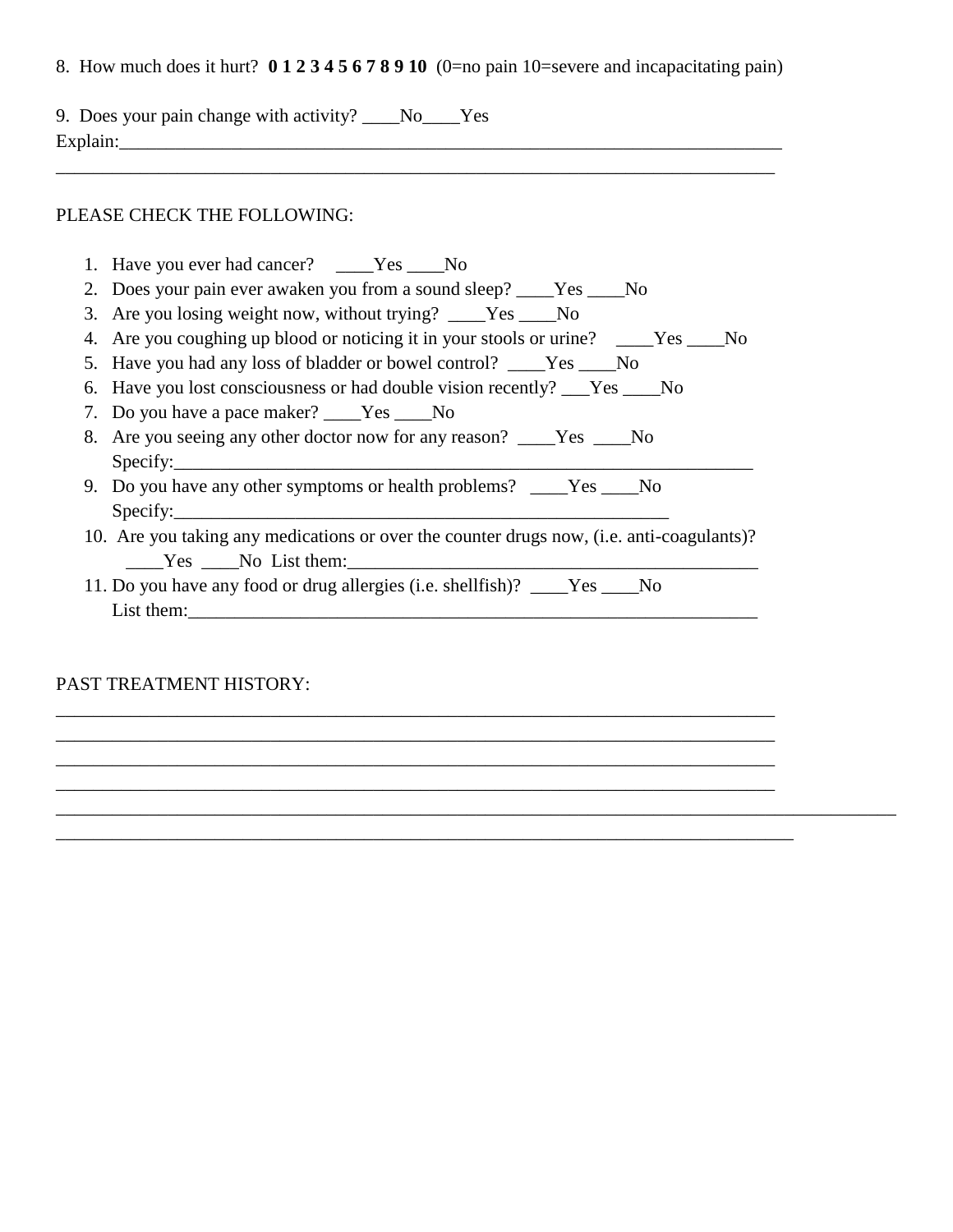8. How much does it hurt? **0 1 2 3 4 5 6 7 8 9 10** (0=no pain 10=severe and incapacitating pain)

\_\_\_\_\_\_\_\_\_\_\_\_\_\_\_\_\_\_\_\_\_\_\_\_\_\_\_\_\_\_\_\_\_\_\_\_\_\_\_\_\_\_\_\_\_\_\_\_\_\_\_\_\_\_\_\_\_\_\_\_\_\_\_\_\_\_\_\_\_\_\_\_\_\_\_\_\_

9. Does your pain change with activity? \_\_\_\_No\_\_\_\_Yes Explain:\_\_\_\_\_\_\_\_\_\_\_\_\_\_\_\_\_\_\_\_\_\_\_\_\_\_\_\_\_\_\_\_\_\_\_\_\_\_\_\_\_\_\_\_\_\_\_\_\_\_\_\_\_\_\_\_\_\_\_\_\_\_\_\_\_\_\_\_\_\_\_

# PLEASE CHECK THE FOLLOWING:

| 1. Have you ever had cancer? _____Yes _____No                                                                         |
|-----------------------------------------------------------------------------------------------------------------------|
| 2. Does your pain ever awaken you from a sound sleep? ____Yes ____No                                                  |
| 3. Are you losing weight now, without trying? _____Yes _____No                                                        |
| 4. Are you coughing up blood or noticing it in your stools or urine? ____Yes ___No                                    |
| 5. Have you had any loss of bladder or bowel control? _____Yes ______No                                               |
| 6. Have you lost consciousness or had double vision recently? ___Yes ___No                                            |
| 7. Do you have a pace maker? Ves No                                                                                   |
| 8. Are you seeing any other doctor now for any reason? ____Yes ____No                                                 |
| $\text{Specify:}\n\begin{picture}(1,0) \label{pic:2} \begin{picture}(1,0) \label{pic:2} \end{picture} \vspace{0.5cm}$ |
| 9. Do you have any other symptoms or health problems? ____Yes ____No                                                  |
| $\text{Specify:}\n\begin{array}{ccc}\n\text{Specify:} & \quad \text{Specify:}\n\end{array}$                           |
| 10. Are you taking any medications or over the counter drugs now, (i.e. anti-coagulants)?                             |
| $Yes$ No List them:                                                                                                   |
| 11. Do you have any food or drug allergies (i.e. shellfish)? ____Yes ____No                                           |
| List them:                                                                                                            |
|                                                                                                                       |
|                                                                                                                       |

\_\_\_\_\_\_\_\_\_\_\_\_\_\_\_\_\_\_\_\_\_\_\_\_\_\_\_\_\_\_\_\_\_\_\_\_\_\_\_\_\_\_\_\_\_\_\_\_\_\_\_\_\_\_\_\_\_\_\_\_\_\_\_\_\_\_\_\_\_\_\_\_\_\_\_\_\_ \_\_\_\_\_\_\_\_\_\_\_\_\_\_\_\_\_\_\_\_\_\_\_\_\_\_\_\_\_\_\_\_\_\_\_\_\_\_\_\_\_\_\_\_\_\_\_\_\_\_\_\_\_\_\_\_\_\_\_\_\_\_\_\_\_\_\_\_\_\_\_\_\_\_\_\_\_ \_\_\_\_\_\_\_\_\_\_\_\_\_\_\_\_\_\_\_\_\_\_\_\_\_\_\_\_\_\_\_\_\_\_\_\_\_\_\_\_\_\_\_\_\_\_\_\_\_\_\_\_\_\_\_\_\_\_\_\_\_\_\_\_\_\_\_\_\_\_\_\_\_\_\_\_\_ \_\_\_\_\_\_\_\_\_\_\_\_\_\_\_\_\_\_\_\_\_\_\_\_\_\_\_\_\_\_\_\_\_\_\_\_\_\_\_\_\_\_\_\_\_\_\_\_\_\_\_\_\_\_\_\_\_\_\_\_\_\_\_\_\_\_\_\_\_\_\_\_\_\_\_\_\_

\_\_\_\_\_\_\_\_\_\_\_\_\_\_\_\_\_\_\_\_\_\_\_\_\_\_\_\_\_\_\_\_\_\_\_\_\_\_\_\_\_\_\_\_\_\_\_\_\_\_\_\_\_\_\_\_\_\_\_\_\_\_\_\_\_\_\_\_\_\_\_\_\_\_\_\_\_\_\_\_\_\_\_\_\_\_\_\_\_\_

### PAST TREATMENT HISTORY: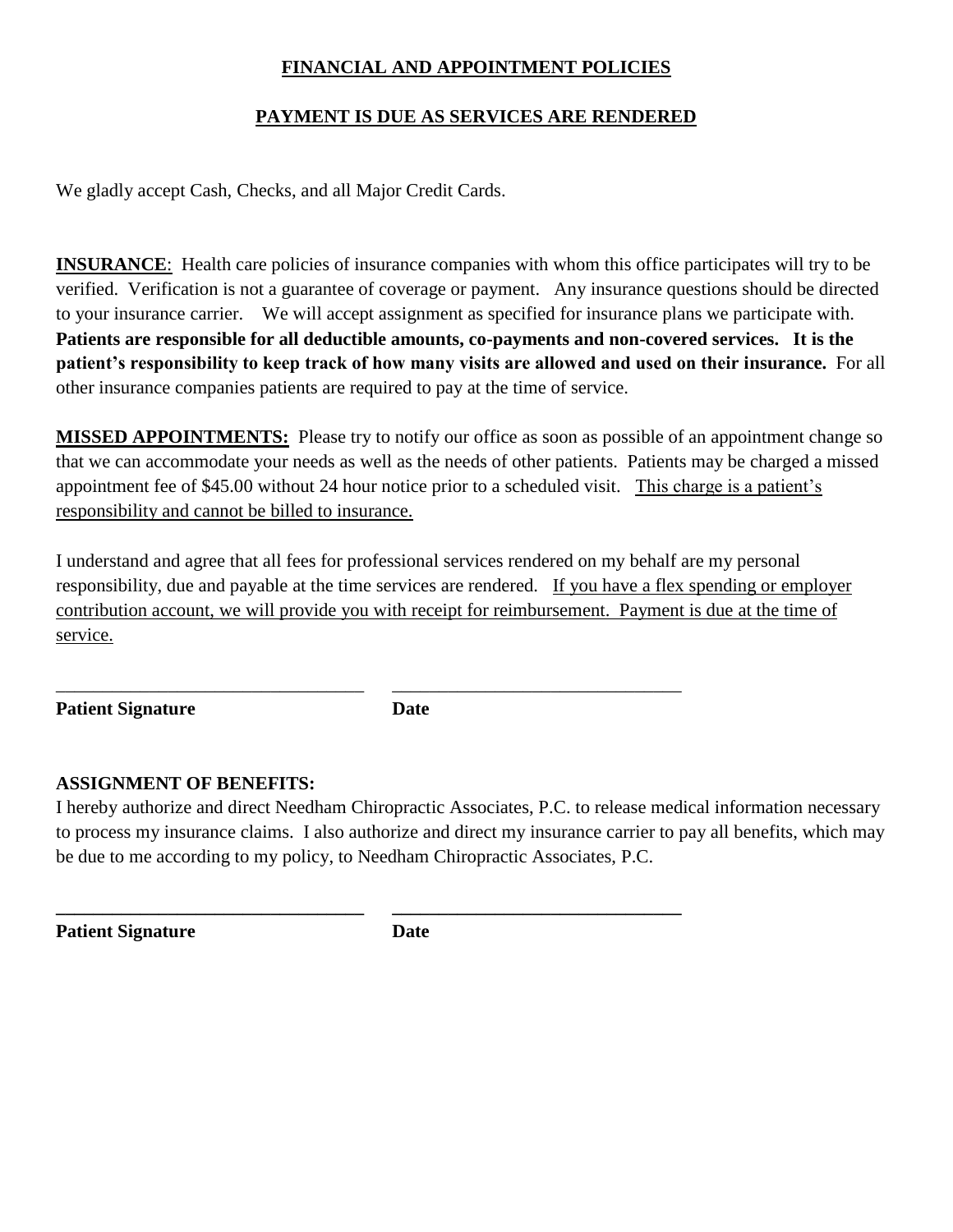# **FINANCIAL AND APPOINTMENT POLICIES**

## **PAYMENT IS DUE AS SERVICES ARE RENDERED**

We gladly accept Cash, Checks, and all Major Credit Cards.

**INSURANCE**: Health care policies of insurance companies with whom this office participates will try to be verified. Verification is not a guarantee of coverage or payment. Any insurance questions should be directed to your insurance carrier. We will accept assignment as specified for insurance plans we participate with. **Patients are responsible for all deductible amounts, co-payments and non-covered services. It is the patient's responsibility to keep track of how many visits are allowed and used on their insurance.** For all other insurance companies patients are required to pay at the time of service.

**MISSED APPOINTMENTS:** Please try to notify our office as soon as possible of an appointment change so that we can accommodate your needs as well as the needs of other patients. Patients may be charged a missed appointment fee of \$45.00 without 24 hour notice prior to a scheduled visit. This charge is a patient's responsibility and cannot be billed to insurance.

I understand and agree that all fees for professional services rendered on my behalf are my personal responsibility, due and payable at the time services are rendered. If you have a flex spending or employer contribution account, we will provide you with receipt for reimbursement. Payment is due at the time of service.

**Patient Signature Date** 

\_\_\_\_\_\_\_\_\_\_\_\_\_\_\_\_\_\_\_\_\_\_\_\_\_\_\_\_\_\_\_\_\_ \_\_\_\_\_\_\_\_\_\_\_\_\_\_\_\_\_\_\_\_\_\_\_\_\_\_\_\_\_\_\_

**\_\_\_\_\_\_\_\_\_\_\_\_\_\_\_\_\_\_\_\_\_\_\_\_\_\_\_\_\_\_\_\_\_ \_\_\_\_\_\_\_\_\_\_\_\_\_\_\_\_\_\_\_\_\_\_\_\_\_\_\_\_\_\_\_**

### **ASSIGNMENT OF BENEFITS:**

I hereby authorize and direct Needham Chiropractic Associates, P.C. to release medical information necessary to process my insurance claims. I also authorize and direct my insurance carrier to pay all benefits, which may be due to me according to my policy, to Needham Chiropractic Associates, P.C.

**Patient Signature Date**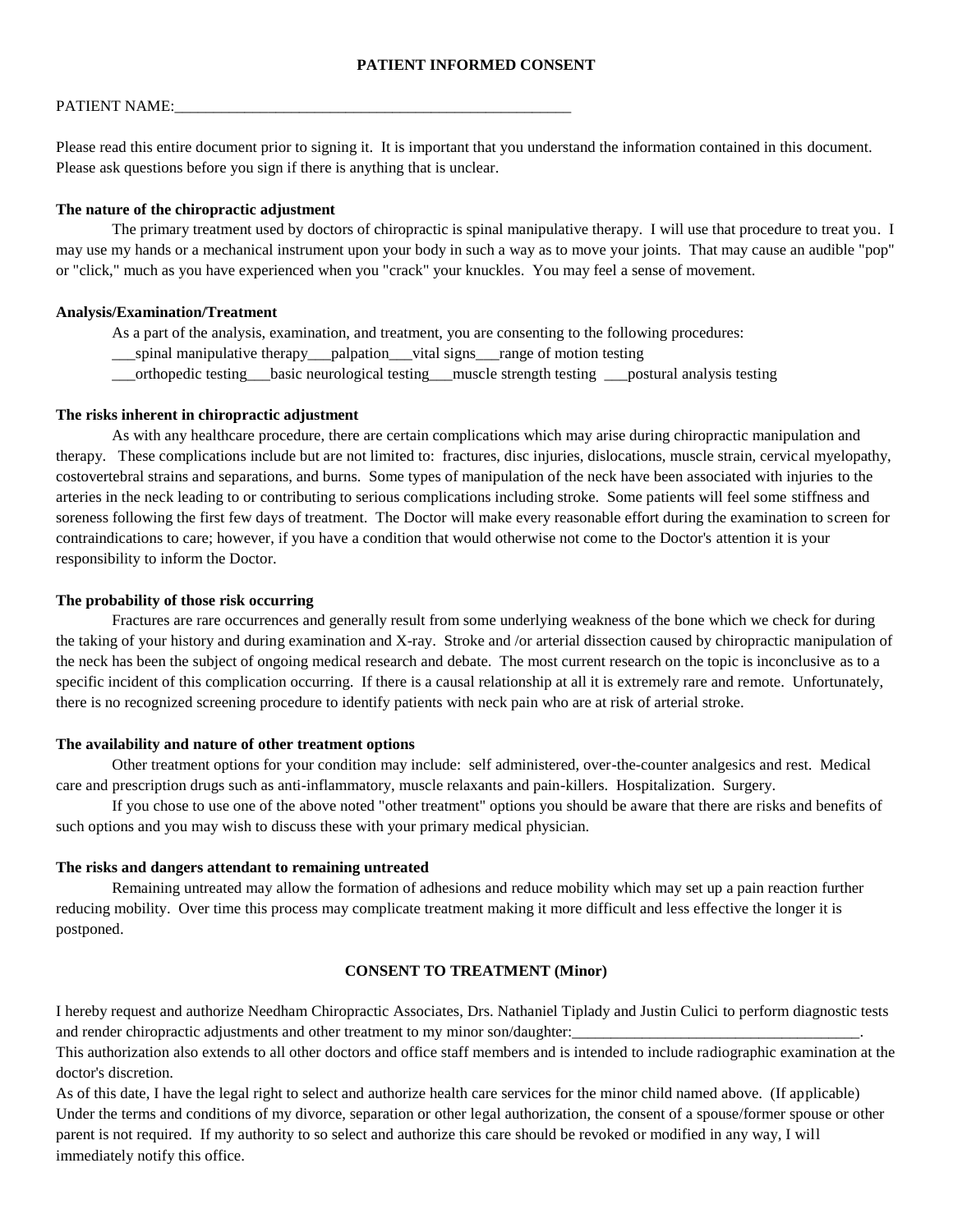#### PATIENT NAME:

Please read this entire document prior to signing it. It is important that you understand the information contained in this document. Please ask questions before you sign if there is anything that is unclear.

#### **The nature of the chiropractic adjustment**

The primary treatment used by doctors of chiropractic is spinal manipulative therapy. I will use that procedure to treat you. I may use my hands or a mechanical instrument upon your body in such a way as to move your joints. That may cause an audible "pop" or "click," much as you have experienced when you "crack" your knuckles. You may feel a sense of movement.

#### **Analysis/Examination/Treatment**

As a part of the analysis, examination, and treatment, you are consenting to the following procedures:

- \_\_\_spinal manipulative therapy\_\_\_palpation\_\_\_vital signs\_\_\_range of motion testing
- \_\_\_orthopedic testing\_\_\_basic neurological testing\_\_\_muscle strength testing \_\_\_postural analysis testing

#### **The risks inherent in chiropractic adjustment**

As with any healthcare procedure, there are certain complications which may arise during chiropractic manipulation and therapy. These complications include but are not limited to: fractures, disc injuries, dislocations, muscle strain, cervical myelopathy, costovertebral strains and separations, and burns. Some types of manipulation of the neck have been associated with injuries to the arteries in the neck leading to or contributing to serious complications including stroke. Some patients will feel some stiffness and soreness following the first few days of treatment. The Doctor will make every reasonable effort during the examination to screen for contraindications to care; however, if you have a condition that would otherwise not come to the Doctor's attention it is your responsibility to inform the Doctor.

#### **The probability of those risk occurring**

Fractures are rare occurrences and generally result from some underlying weakness of the bone which we check for during the taking of your history and during examination and X-ray. Stroke and /or arterial dissection caused by chiropractic manipulation of the neck has been the subject of ongoing medical research and debate. The most current research on the topic is inconclusive as to a specific incident of this complication occurring. If there is a causal relationship at all it is extremely rare and remote. Unfortunately, there is no recognized screening procedure to identify patients with neck pain who are at risk of arterial stroke.

#### **The availability and nature of other treatment options**

Other treatment options for your condition may include: self administered, over-the-counter analgesics and rest. Medical care and prescription drugs such as anti-inflammatory, muscle relaxants and pain-killers. Hospitalization. Surgery.

If you chose to use one of the above noted "other treatment" options you should be aware that there are risks and benefits of such options and you may wish to discuss these with your primary medical physician.

#### **The risks and dangers attendant to remaining untreated**

Remaining untreated may allow the formation of adhesions and reduce mobility which may set up a pain reaction further reducing mobility. Over time this process may complicate treatment making it more difficult and less effective the longer it is postponed.

### **CONSENT TO TREATMENT (Minor)**

I hereby request and authorize Needham Chiropractic Associates, Drs. Nathaniel Tiplady and Justin Culici to perform diagnostic tests and render chiropractic adjustments and other treatment to my minor son/daughter:

This authorization also extends to all other doctors and office staff members and is intended to include radiographic examination at the doctor's discretion.

As of this date, I have the legal right to select and authorize health care services for the minor child named above. (If applicable) Under the terms and conditions of my divorce, separation or other legal authorization, the consent of a spouse/former spouse or other parent is not required. If my authority to so select and authorize this care should be revoked or modified in any way, I will immediately notify this office.